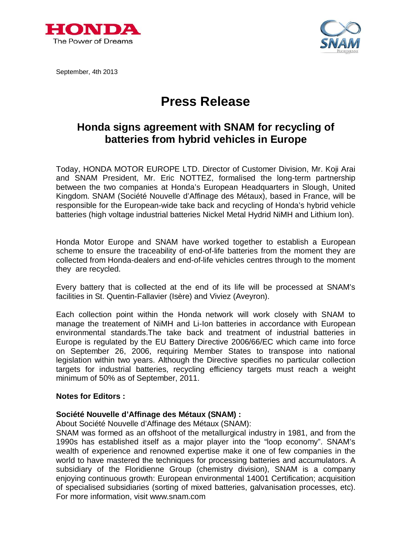



September, 4th 2013

# **Press Release**

## **Honda signs agreement with SNAM for recycling of batteries from hybrid vehicles in Europe**

Today, HONDA MOTOR EUROPE LTD. Director of Customer Division, Mr. Koji Arai and SNAM President, Mr. Eric NOTTEZ, formalised the long-term partnership between the two companies at Honda's European Headquarters in Slough, United Kingdom. SNAM (Société Nouvelle d'Affinage des Métaux), based in France, will be responsible for the European-wide take back and recycling of Honda's hybrid vehicle batteries (high voltage industrial batteries Nickel Metal Hydrid NiMH and Lithium Ion).

Honda Motor Europe and SNAM have worked together to establish a European scheme to ensure the traceability of end-of-life batteries from the moment they are collected from Honda-dealers and end-of-life vehicles centres through to the moment they are recycled.

Every battery that is collected at the end of its life will be processed at SNAM's facilities in St. Quentin-Fallavier (Isère) and Viviez (Aveyron).

Each collection point within the Honda network will work closely with SNAM to manage the treatement of NiMH and Li-Ion batteries in accordance with European environmental standards.The take back and treatment of industrial batteries in Europe is regulated by the EU Battery Directive 2006/66/EC which came into force on September 26, 2006, requiring Member States to transpose into national legislation within two years. Although the Directive specifies no particular collection targets for industrial batteries, recycling efficiency targets must reach a weight minimum of 50% as of September, 2011.

#### **Notes for Editors :**

#### **Société Nouvelle d'Affinage des Métaux (SNAM) :**

About Société Nouvelle d'Affinage des Métaux (SNAM):

SNAM was formed as an offshoot of the metallurgical industry in 1981, and from the 1990s has established itself as a major player into the "loop economy". SNAM's wealth of experience and renowned expertise make it one of few companies in the world to have mastered the techniques for processing batteries and accumulators. A subsidiary of the Floridienne Group (chemistry division), SNAM is a company enjoying continuous growth: European environmental 14001 Certification; acquisition of specialised subsidiaries (sorting of mixed batteries, galvanisation processes, etc). For more information, visit [www.snam.com](http://www.snam.com)